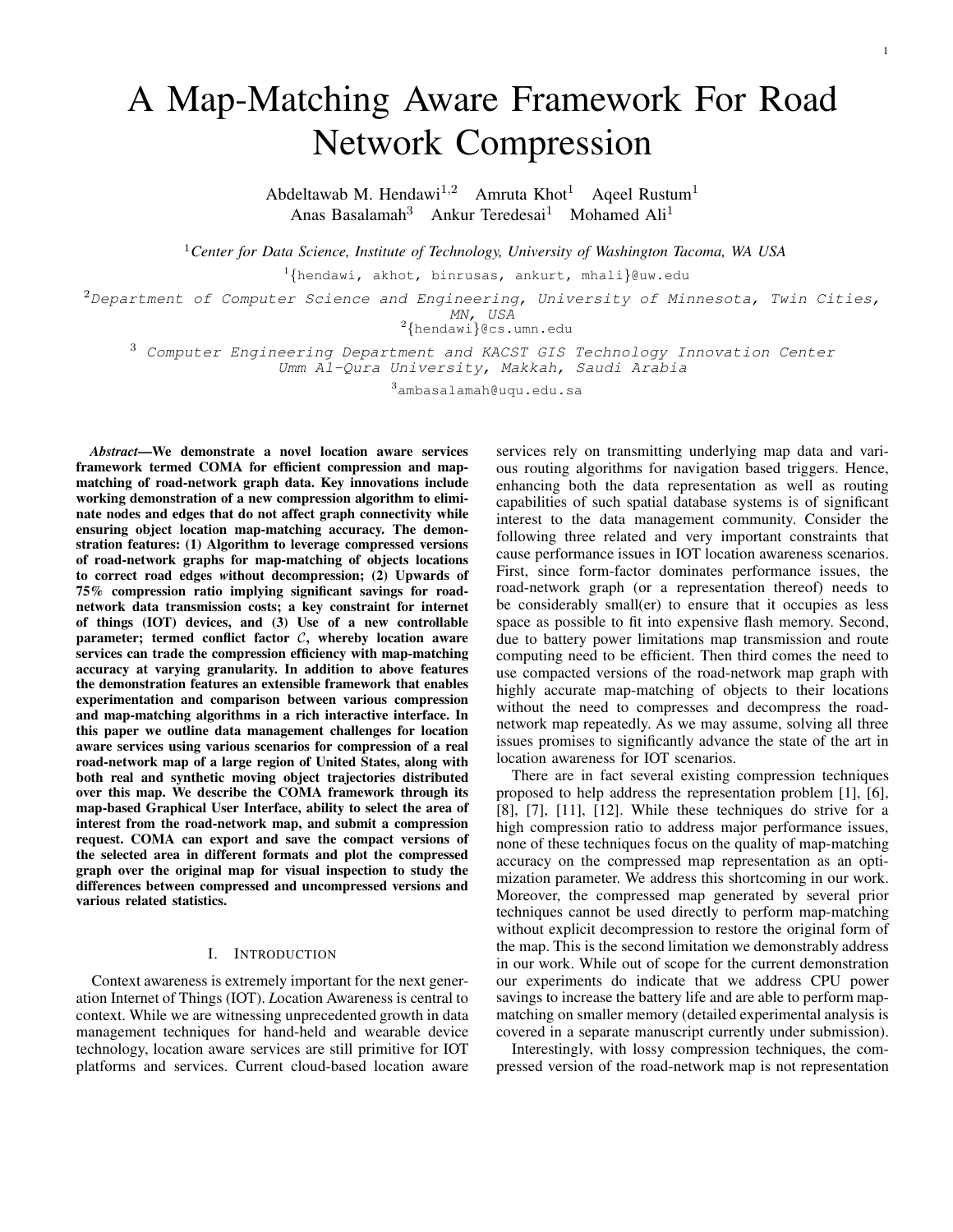# A Map-Matching Aware Framework For Road Network Compression

Abdeltawab M. Hendawi<sup>1,2</sup> Amruta Khot<sup>1</sup> Aqeel Rustum<sup>1</sup> Anas Basalamah<sup>3</sup> Ankur Teredesai<sup>1</sup> Mohamed Ali<sup>1</sup>

<sup>1</sup>*Center for Data Science, Institute of Technology, University of Washington Tacoma, WA USA*

<sup>1</sup>{hendawi, akhot, binrusas, ankurt, mhali}@uw.edu

 $^{2}$ Department of Computer Science and Engineering, University of Minnesota, Twin Cities, MN, USA

2 {hendawi}@cs.umn.edu

<sup>3</sup> Computer Engineering Department and KACST GIS Technology Innovation Center Umm Al-Qura University, Makkah, Saudi Arabia

<sup>3</sup>ambasalamah@uqu.edu.sa

*Abstract***—We demonstrate a novel location aware services framework termed COMA for efficient compression and mapmatching of road-network graph data. Key innovations include working demonstration of a new compression algorithm to eliminate nodes and edges that do not affect graph connectivity while ensuring object location map-matching accuracy. The demonstration features: (1) Algorithm to leverage compressed versions of road-network graphs for map-matching of objects locations to correct road edges** *w***ithout decompression; (2) Upwards of 75% compression ratio implying significant savings for roadnetwork data transmission costs; a key constraint for internet of things (IOT) devices, and (3) Use of a new controllable parameter; termed conflict factor** C**, whereby location aware services can trade the compression efficiency with map-matching accuracy at varying granularity. In addition to above features the demonstration features an extensible framework that enables experimentation and comparison between various compression and map-matching algorithms in a rich interactive interface. In this paper we outline data management challenges for location aware services using various scenarios for compression of a real road-network map of a large region of United States, along with both real and synthetic moving object trajectories distributed over this map. We describe the COMA framework through its map-based Graphical User Interface, ability to select the area of interest from the road-network map, and submit a compression request. COMA can export and save the compact versions of the selected area in different formats and plot the compressed graph over the original map for visual inspection to study the differences between compressed and uncompressed versions and various related statistics.**

# I. INTRODUCTION

Context awareness is extremely important for the next generation Internet of Things (IOT). *L*ocation Awareness is central to context. While we are witnessing unprecedented growth in data management techniques for hand-held and wearable device technology, location aware services are still primitive for IOT platforms and services. Current cloud-based location aware services rely on transmitting underlying map data and various routing algorithms for navigation based triggers. Hence, enhancing both the data representation as well as routing capabilities of such spatial database systems is of significant interest to the data management community. Consider the following three related and very important constraints that cause performance issues in IOT location awareness scenarios. First, since form-factor dominates performance issues, the road-network graph (or a representation thereof) needs to be considerably small(er) to ensure that it occupies as less space as possible to fit into expensive flash memory. Second, due to battery power limitations map transmission and route computing need to be efficient. Then third comes the need to use compacted versions of the road-network map graph with highly accurate map-matching of objects to their locations without the need to compresses and decompress the roadnetwork map repeatedly. As we may assume, solving all three issues promises to significantly advance the state of the art in location awareness for IOT scenarios.

There are in fact several existing compression techniques proposed to help address the representation problem [1], [6], [8], [7], [11], [12]. While these techniques do strive for a high compression ratio to address major performance issues, none of these techniques focus on the quality of map-matching accuracy on the compressed map representation as an optimization parameter. We address this shortcoming in our work. Moreover, the compressed map generated by several prior techniques cannot be used directly to perform map-matching without explicit decompression to restore the original form of the map. This is the second limitation we demonstrably address in our work. While out of scope for the current demonstration our experiments do indicate that we address CPU power savings to increase the battery life and are able to perform mapmatching on smaller memory (detailed experimental analysis is covered in a separate manuscript currently under submission).

Interestingly, with lossy compression techniques, the compressed version of the road-network map is not representation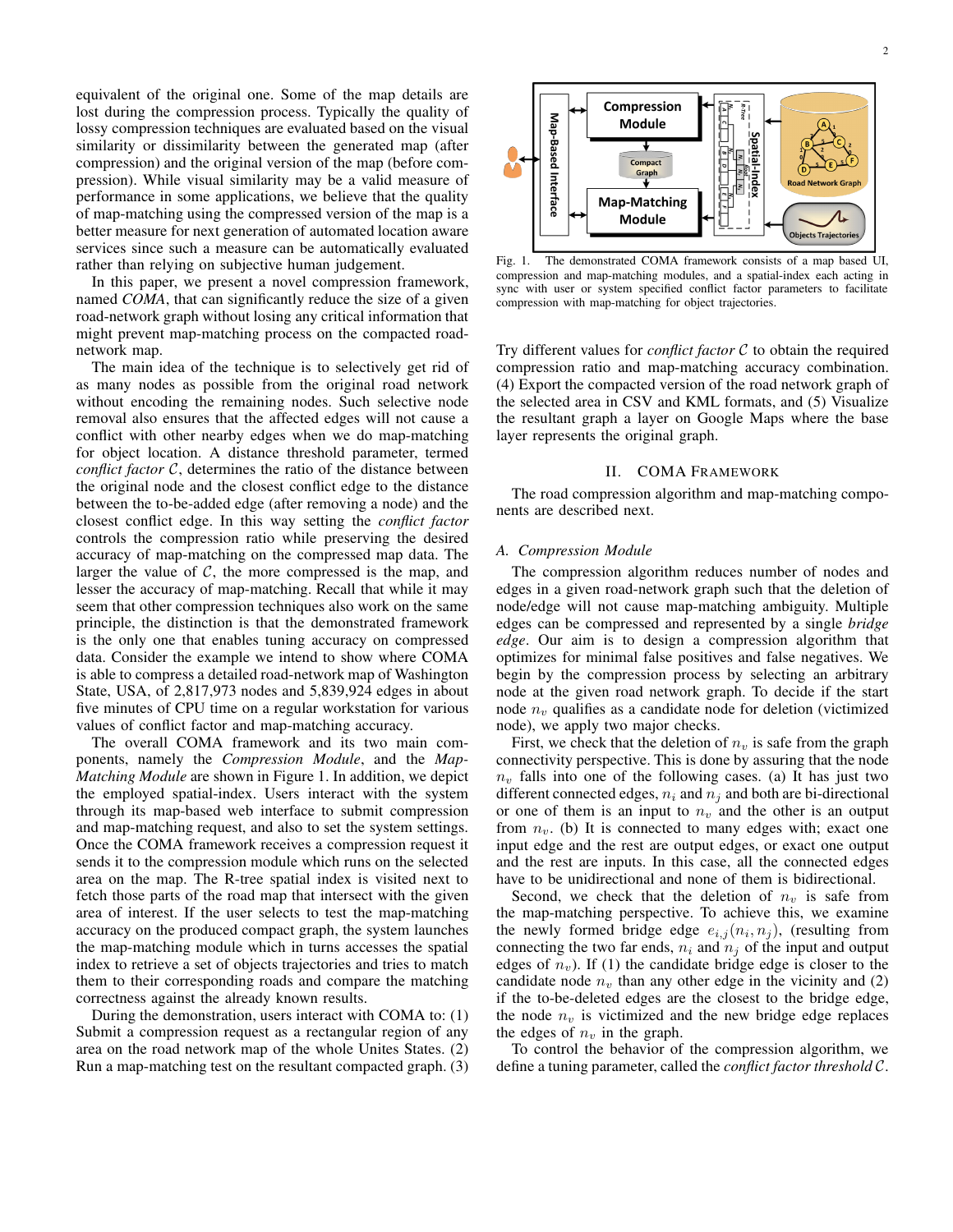equivalent of the original one. Some of the map details are lost during the compression process. Typically the quality of lossy compression techniques are evaluated based on the visual similarity or dissimilarity between the generated map (after compression) and the original version of the map (before compression). While visual similarity may be a valid measure of performance in some applications, we believe that the quality of map-matching using the compressed version of the map is a better measure for next generation of automated location aware services since such a measure can be automatically evaluated rather than relying on subjective human judgement.

In this paper, we present a novel compression framework, named *COMA*, that can significantly reduce the size of a given road-network graph without losing any critical information that might prevent map-matching process on the compacted roadnetwork map.

The main idea of the technique is to selectively get rid of as many nodes as possible from the original road network without encoding the remaining nodes. Such selective node removal also ensures that the affected edges will not cause a conflict with other nearby edges when we do map-matching for object location. A distance threshold parameter, termed *conflict factor* C, determines the ratio of the distance between the original node and the closest conflict edge to the distance between the to-be-added edge (after removing a node) and the closest conflict edge. In this way setting the *conflict factor* controls the compression ratio while preserving the desired accuracy of map-matching on the compressed map data. The larger the value of  $C$ , the more compressed is the map, and lesser the accuracy of map-matching. Recall that while it may seem that other compression techniques also work on the same principle, the distinction is that the demonstrated framework is the only one that enables tuning accuracy on compressed data. Consider the example we intend to show where COMA is able to compress a detailed road-network map of Washington State, USA, of 2,817,973 nodes and 5,839,924 edges in about five minutes of CPU time on a regular workstation for various values of conflict factor and map-matching accuracy.

The overall COMA framework and its two main components, namely the *Compression Module*, and the *Map-Matching Module* are shown in Figure 1. In addition, we depict the employed spatial-index. Users interact with the system through its map-based web interface to submit compression and map-matching request, and also to set the system settings. Once the COMA framework receives a compression request it sends it to the compression module which runs on the selected area on the map. The R-tree spatial index is visited next to fetch those parts of the road map that intersect with the given area of interest. If the user selects to test the map-matching accuracy on the produced compact graph, the system launches the map-matching module which in turns accesses the spatial index to retrieve a set of objects trajectories and tries to match them to their corresponding roads and compare the matching correctness against the already known results.

During the demonstration, users interact with COMA to: (1) Submit a compression request as a rectangular region of any area on the road network map of the whole Unites States. (2) Run a map-matching test on the resultant compacted graph. (3)



Fig. 1. The demonstrated COMA framework consists of a map based UI, compression and map-matching modules, and a spatial-index each acting in sync with user or system specified conflict factor parameters to facilitate compression with map-matching for object trajectories.

Try different values for *conflict factor* C to obtain the required compression ratio and map-matching accuracy combination. (4) Export the compacted version of the road network graph of the selected area in CSV and KML formats, and (5) Visualize the resultant graph a layer on Google Maps where the base layer represents the original graph.

# II. COMA FRAMEWORK

The road compression algorithm and map-matching components are described next.

## *A. Compression Module*

The compression algorithm reduces number of nodes and edges in a given road-network graph such that the deletion of node/edge will not cause map-matching ambiguity. Multiple edges can be compressed and represented by a single *bridge edge*. Our aim is to design a compression algorithm that optimizes for minimal false positives and false negatives. We begin by the compression process by selecting an arbitrary node at the given road network graph. To decide if the start node  $n<sub>v</sub>$  qualifies as a candidate node for deletion (victimized node), we apply two major checks.

First, we check that the deletion of  $n<sub>v</sub>$  is safe from the graph connectivity perspective. This is done by assuring that the node  $n_v$  falls into one of the following cases. (a) It has just two different connected edges,  $n_i$  and  $n_j$  and both are bi-directional or one of them is an input to  $n<sub>v</sub>$  and the other is an output from  $n_v$ . (b) It is connected to many edges with; exact one input edge and the rest are output edges, or exact one output and the rest are inputs. In this case, all the connected edges have to be unidirectional and none of them is bidirectional.

Second, we check that the deletion of  $n_v$  is safe from the map-matching perspective. To achieve this, we examine the newly formed bridge edge  $e_{i,j}(n_i, n_j)$ , (resulting from connecting the two far ends,  $n_i$  and  $n_j$  of the input and output edges of  $n_v$ ). If (1) the candidate bridge edge is closer to the candidate node  $n<sub>v</sub>$  than any other edge in the vicinity and (2) if the to-be-deleted edges are the closest to the bridge edge, the node  $n_v$  is victimized and the new bridge edge replaces the edges of  $n_v$  in the graph.

To control the behavior of the compression algorithm, we define a tuning parameter, called the *conflict factor threshold* C.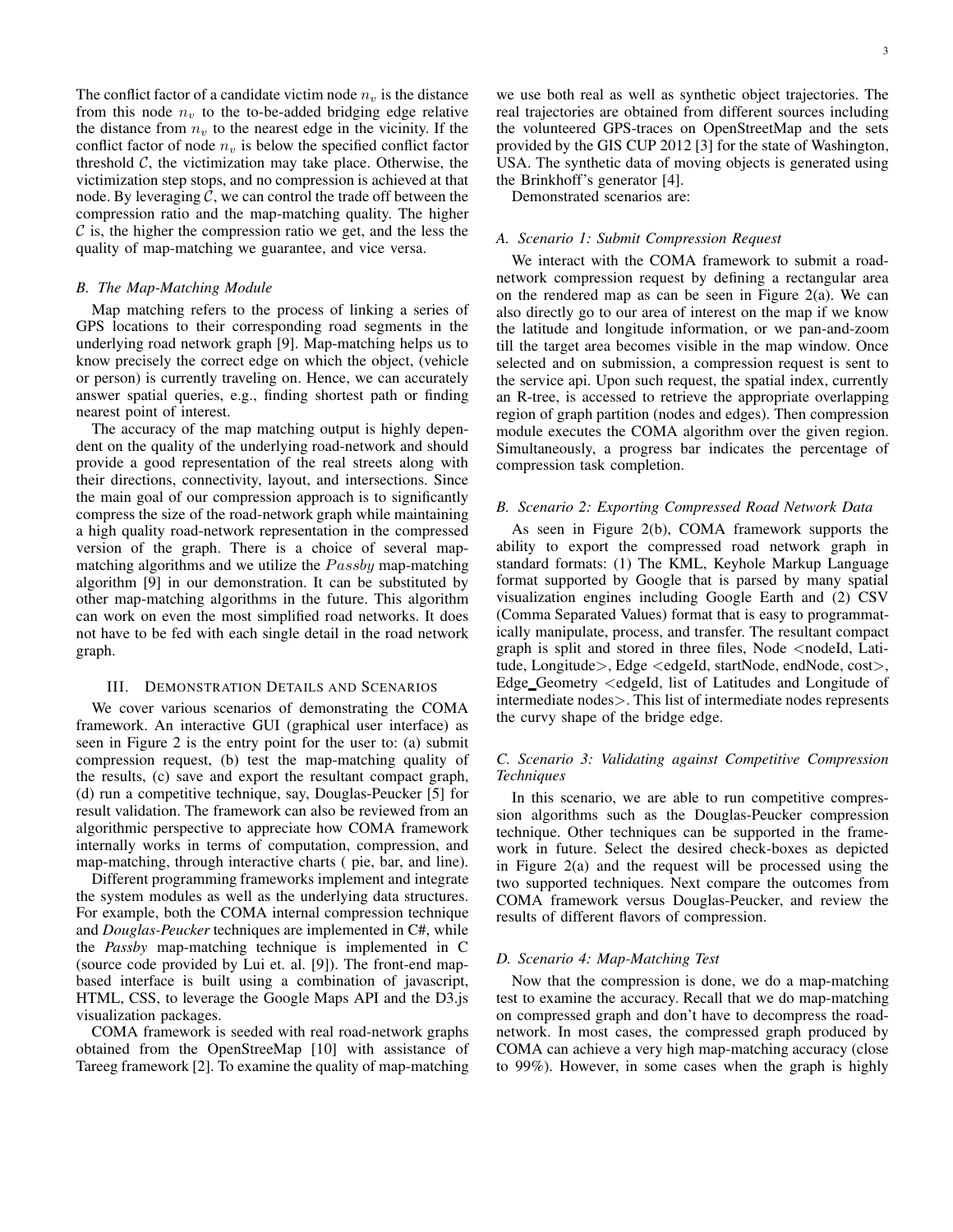The conflict factor of a candidate victim node  $n_v$  is the distance from this node  $n_v$  to the to-be-added bridging edge relative the distance from  $n_v$  to the nearest edge in the vicinity. If the conflict factor of node  $n_v$  is below the specified conflict factor threshold  $C$ , the victimization may take place. Otherwise, the victimization step stops, and no compression is achieved at that node. By leveraging  $C$ , we can control the trade off between the compression ratio and the map-matching quality. The higher  $\mathcal C$  is, the higher the compression ratio we get, and the less the quality of map-matching we guarantee, and vice versa.

#### *B. The Map-Matching Module*

Map matching refers to the process of linking a series of GPS locations to their corresponding road segments in the underlying road network graph [9]. Map-matching helps us to know precisely the correct edge on which the object, (vehicle or person) is currently traveling on. Hence, we can accurately answer spatial queries, e.g., finding shortest path or finding nearest point of interest.

The accuracy of the map matching output is highly dependent on the quality of the underlying road-network and should provide a good representation of the real streets along with their directions, connectivity, layout, and intersections. Since the main goal of our compression approach is to significantly compress the size of the road-network graph while maintaining a high quality road-network representation in the compressed version of the graph. There is a choice of several mapmatching algorithms and we utilize the  $Passby$  map-matching algorithm [9] in our demonstration. It can be substituted by other map-matching algorithms in the future. This algorithm can work on even the most simplified road networks. It does not have to be fed with each single detail in the road network graph.

## III. DEMONSTRATION DETAILS AND SCENARIOS

We cover various scenarios of demonstrating the COMA framework. An interactive GUI (graphical user interface) as seen in Figure 2 is the entry point for the user to: (a) submit compression request, (b) test the map-matching quality of the results, (c) save and export the resultant compact graph, (d) run a competitive technique, say, Douglas-Peucker [5] for result validation. The framework can also be reviewed from an algorithmic perspective to appreciate how COMA framework internally works in terms of computation, compression, and map-matching, through interactive charts ( pie, bar, and line).

Different programming frameworks implement and integrate the system modules as well as the underlying data structures. For example, both the COMA internal compression technique and *Douglas-Peucker* techniques are implemented in C#, while the *Passby* map-matching technique is implemented in C (source code provided by Lui et. al. [9]). The front-end mapbased interface is built using a combination of javascript, HTML, CSS, to leverage the Google Maps API and the D3.js visualization packages.

COMA framework is seeded with real road-network graphs obtained from the OpenStreeMap [10] with assistance of Tareeg framework [2]. To examine the quality of map-matching we use both real as well as synthetic object trajectories. The real trajectories are obtained from different sources including the volunteered GPS-traces on OpenStreetMap and the sets provided by the GIS CUP 2012 [3] for the state of Washington, USA. The synthetic data of moving objects is generated using the Brinkhoff's generator [4].

Demonstrated scenarios are:

## *A. Scenario 1: Submit Compression Request*

We interact with the COMA framework to submit a roadnetwork compression request by defining a rectangular area on the rendered map as can be seen in Figure  $2(a)$ . We can also directly go to our area of interest on the map if we know the latitude and longitude information, or we pan-and-zoom till the target area becomes visible in the map window. Once selected and on submission, a compression request is sent to the service api. Upon such request, the spatial index, currently an R-tree, is accessed to retrieve the appropriate overlapping region of graph partition (nodes and edges). Then compression module executes the COMA algorithm over the given region. Simultaneously, a progress bar indicates the percentage of compression task completion.

#### *B. Scenario 2: Exporting Compressed Road Network Data*

As seen in Figure 2(b), COMA framework supports the ability to export the compressed road network graph in standard formats: (1) The KML, Keyhole Markup Language format supported by Google that is parsed by many spatial visualization engines including Google Earth and (2) CSV (Comma Separated Values) format that is easy to programmatically manipulate, process, and transfer. The resultant compact graph is split and stored in three files, Node <nodeId, Latitude, Longitude>, Edge <edgeId, startNode, endNode, cost>, Edge Geometry <edgeId, list of Latitudes and Longitude of intermediate nodes>. This list of intermediate nodes represents the curvy shape of the bridge edge.

# *C. Scenario 3: Validating against Competitive Compression Techniques*

In this scenario, we are able to run competitive compression algorithms such as the Douglas-Peucker compression technique. Other techniques can be supported in the framework in future. Select the desired check-boxes as depicted in Figure 2(a) and the request will be processed using the two supported techniques. Next compare the outcomes from COMA framework versus Douglas-Peucker, and review the results of different flavors of compression.

### *D. Scenario 4: Map-Matching Test*

Now that the compression is done, we do a map-matching test to examine the accuracy. Recall that we do map-matching on compressed graph and don't have to decompress the roadnetwork. In most cases, the compressed graph produced by COMA can achieve a very high map-matching accuracy (close to 99%). However, in some cases when the graph is highly